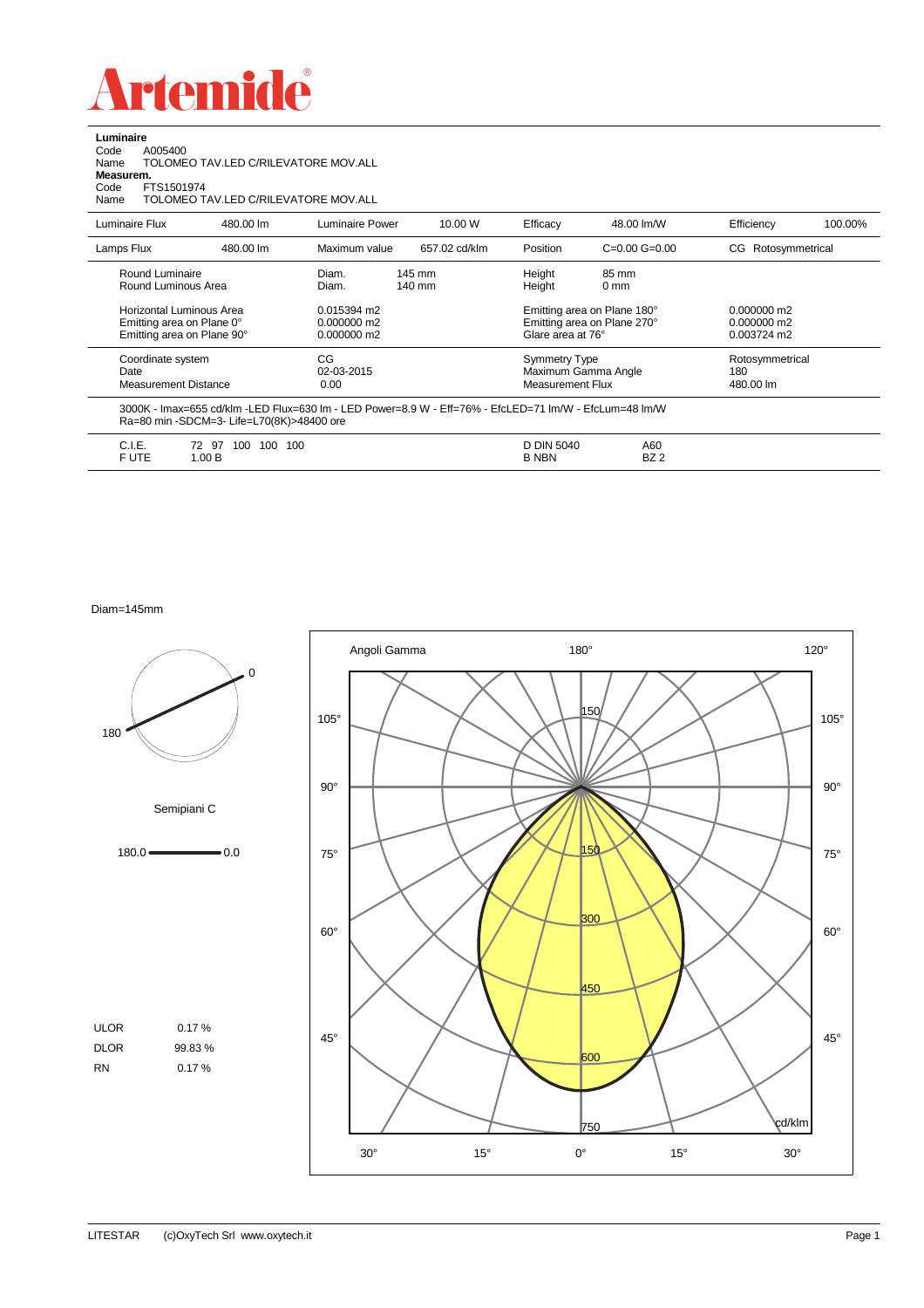

**Luminaire**<br>Code A<br>Name T Code A005400 Name TOLOMEO TAV.LED C/RILEVATORE MOV.ALL

**Measurem.**<br>Code FTS1501974<br>Name TOLOMEO TAV.LED C/RILEVATORE MOV.ALL

| Luminaire Flux                                                                      | 480.00 lm                                 | Luminaire Power                                                                                        | 10.00 W          | Efficacy                                        | 48.00 lm/W                                                                      | Efficiency                          | 100.00%                                       |  |
|-------------------------------------------------------------------------------------|-------------------------------------------|--------------------------------------------------------------------------------------------------------|------------------|-------------------------------------------------|---------------------------------------------------------------------------------|-------------------------------------|-----------------------------------------------|--|
| Lamps Flux                                                                          | 480.00 lm                                 | Maximum value                                                                                          | 657.02 cd/klm    | Position                                        | $C=0.00$ $G=0.00$                                                               | Rotosymmetrical<br>CG               |                                               |  |
| Round Luminaire<br>Round Luminous Area                                              |                                           | Diam.<br>Diam.                                                                                         | 145 mm<br>140 mm | Height<br>Height                                | 85 mm<br>0 <sub>mm</sub>                                                        |                                     |                                               |  |
| Horizontal Luminous Area<br>Emitting area on Plane 0°<br>Emitting area on Plane 90° |                                           | 0.015394 m2<br>$0.000000$ m2<br>0.000000 m2                                                            |                  |                                                 | Emitting area on Plane 180°<br>Emitting area on Plane 270°<br>Glare area at 76° |                                     | $0.000000$ m2<br>$0.000000$ m2<br>0.003724 m2 |  |
| Coordinate system<br>Date<br><b>Measurement Distance</b>                            |                                           | CG<br>02-03-2015<br>0.00                                                                               |                  | <b>Symmetry Type</b><br><b>Measurement Flux</b> | Maximum Gamma Angle                                                             | Rotosymmetrical<br>180<br>480.00 lm |                                               |  |
|                                                                                     | Ra=80 min -SDCM=3- Life=L70(8K)>48400 ore | 3000K - Imax=655 cd/klm -LED Flux=630 lm - LED Power=8.9 W - Eff=76% - EfcLED=71 lm/W - EfcLum=48 lm/W |                  |                                                 |                                                                                 |                                     |                                               |  |
| C.I.E.<br>F UTE                                                                     | 72 97<br>100<br>100<br>1.00B              | 100                                                                                                    |                  | D DIN 5040<br><b>B NBN</b>                      | A60<br>BZ <sub>2</sub>                                                          |                                     |                                               |  |

Diam=145mm

180